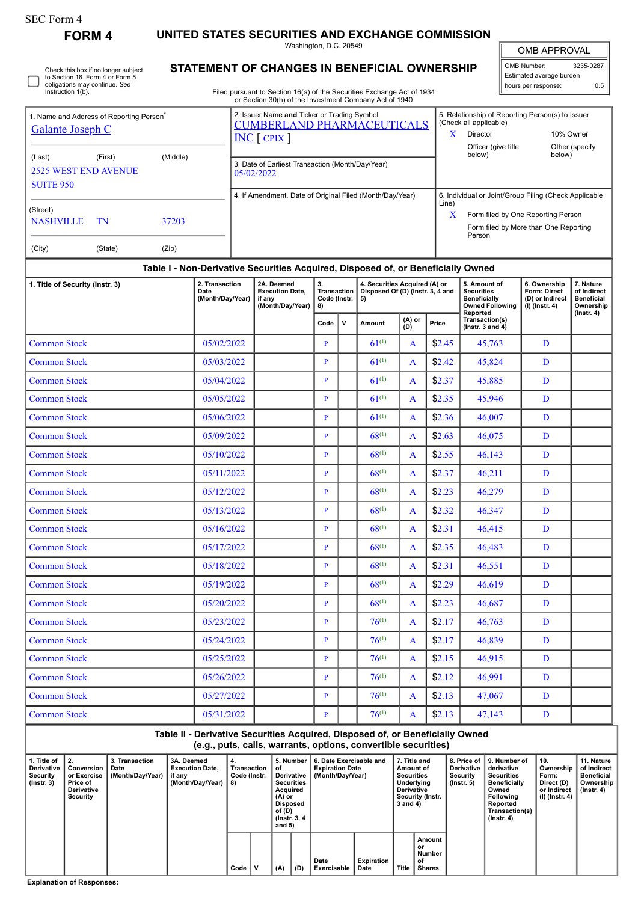## SEC Form 4

Check this box if no longer subject

**FORM 4 UNITED STATES SECURITIES AND EXCHANGE COMMISSION**

Washington, D.C. 20549 **STATEMENT OF CHANGES IN BENEFICIAL OWNERSHIP**

OMB APPROVAL

 $\blacksquare$ 

| OMB Number:              | 3235-0287 |
|--------------------------|-----------|
| Estimated average burden |           |
| hours per response:      | ሰ 5       |
|                          |           |

| obligations may continue. See<br>Instruction 1(b).                               | to Section 16. Form 4 or Form 5 |                                            |                                                                    | Estimated average burden<br>0.5<br>hours per response:<br>Filed pursuant to Section 16(a) of the Securities Exchange Act of 1934<br>or Section 30(h) of the Investment Company Act of 1940 |              |                                                                         |                 |       |                                                                                    |                                                                                                                                                |                                                                     |                                                            |                |  |
|----------------------------------------------------------------------------------|---------------------------------|--------------------------------------------|--------------------------------------------------------------------|--------------------------------------------------------------------------------------------------------------------------------------------------------------------------------------------|--------------|-------------------------------------------------------------------------|-----------------|-------|------------------------------------------------------------------------------------|------------------------------------------------------------------------------------------------------------------------------------------------|---------------------------------------------------------------------|------------------------------------------------------------|----------------|--|
| 1. Name and Address of Reporting Person <sup>'</sup><br><b>Galante Joseph C</b>  |                                 |                                            |                                                                    | 2. Issuer Name and Ticker or Trading Symbol<br><b>CUMBERLAND PHARMACEUTICALS</b><br>$INC$ $[$ CPIX $]$                                                                                     |              |                                                                         |                 |       |                                                                                    | (Check all applicable)<br>$\mathbf{X}$<br>Director                                                                                             | 5. Relationship of Reporting Person(s) to Issuer<br>10% Owner       |                                                            |                |  |
| (Middle)<br>(Last)<br>(First)<br><b>2525 WEST END AVENUE</b><br><b>SUITE 950</b> |                                 |                                            |                                                                    | 3. Date of Earliest Transaction (Month/Day/Year)<br>05/02/2022                                                                                                                             |              |                                                                         |                 |       |                                                                                    | Officer (give title<br>below)                                                                                                                  |                                                                     | below)                                                     | Other (specify |  |
| (Street)<br><b>NASHVILLE</b><br>(City)                                           | TN<br>(State)                   | 37203<br>(Zip)                             |                                                                    | 4. If Amendment, Date of Original Filed (Month/Day/Year)                                                                                                                                   |              |                                                                         |                 |       | Line)<br>$\mathbf{x}$                                                              | 6. Individual or Joint/Group Filing (Check Applicable<br>Form filed by One Reporting Person<br>Form filed by More than One Reporting<br>Person |                                                                     |                                                            |                |  |
|                                                                                  |                                 |                                            |                                                                    | Table I - Non-Derivative Securities Acquired, Disposed of, or Beneficially Owned                                                                                                           |              |                                                                         |                 |       |                                                                                    |                                                                                                                                                |                                                                     |                                                            |                |  |
| 1. Title of Security (Instr. 3)                                                  |                                 | 2. Transaction<br>Date<br>(Month/Day/Year) | 2A. Deemed<br><b>Execution Date,</b><br>if anv<br>(Month/Day/Year) | 3.<br><b>Transaction</b><br>Code (Instr.<br>8)                                                                                                                                             |              | 4. Securities Acquired (A) or<br>Disposed Of (D) (Instr. 3, 4 and<br>5) |                 |       | 5. Amount of<br><b>Securities</b><br><b>Beneficially</b><br><b>Owned Following</b> |                                                                                                                                                | 6. Ownership<br>Form: Direct<br>(D) or Indirect<br>$(I)$ (Instr. 4) | 7. Nature<br>of Indirect<br><b>Beneficial</b><br>Ownership |                |  |
|                                                                                  |                                 |                                            |                                                                    | Code                                                                                                                                                                                       | $\mathbf v$  | Amount                                                                  | $(A)$ or<br>(D) | Price | Reported<br>Transaction(s)<br>$($ lnstr. 3 and 4 $)$                               |                                                                                                                                                |                                                                     | $($ Instr. 4 $)$                                           |                |  |
| <b>Common Stock</b>                                                              |                                 |                                            | 05/02/2022                                                         |                                                                                                                                                                                            | $\mathbf{P}$ |                                                                         | $61^{(1)}$      | A     | \$2.45                                                                             | 45,763                                                                                                                                         |                                                                     | D                                                          |                |  |
| <b>Common Stock</b>                                                              |                                 |                                            | 05/03/2022                                                         |                                                                                                                                                                                            | $\mathbf{P}$ |                                                                         | $61^{(1)}$      | A     | \$2.42                                                                             | 45,824                                                                                                                                         |                                                                     | D                                                          |                |  |
| <b>Common Stock</b>                                                              |                                 |                                            | 05/04/2022                                                         |                                                                                                                                                                                            | $\mathbf{P}$ |                                                                         | $61^{(1)}$      | A     | \$2.37                                                                             | 45,885                                                                                                                                         |                                                                     | D                                                          |                |  |
| <b>Common Stock</b>                                                              |                                 |                                            | 05/05/2022                                                         |                                                                                                                                                                                            | $\mathbf{P}$ |                                                                         | $61^{(1)}$      | A     | \$2.35                                                                             | 45,946                                                                                                                                         |                                                                     | D                                                          |                |  |
| <b>Common Stock</b>                                                              |                                 |                                            | 05/06/2022                                                         |                                                                                                                                                                                            | $\mathbf{P}$ |                                                                         | $61^{(1)}$      | A     | \$2.36                                                                             | 46.007                                                                                                                                         |                                                                     | D                                                          |                |  |
| <b>Common Stock</b>                                                              |                                 |                                            | 05/09/2022                                                         |                                                                                                                                                                                            | $\mathbf{P}$ |                                                                         | $68^{(1)}$      | A     | \$2.63                                                                             | 46,075                                                                                                                                         |                                                                     | D                                                          |                |  |
| <b>Common Stock</b>                                                              |                                 |                                            | 05/10/2022                                                         |                                                                                                                                                                                            | P            |                                                                         | $68^{(1)}$      | A     | \$2.55                                                                             | 46,143                                                                                                                                         |                                                                     | D                                                          |                |  |

| <b>Common Stock</b> | 05/09/2022 | P | $68^{(1)}$ | A            | \$2.63 | 46,075 | D |  |
|---------------------|------------|---|------------|--------------|--------|--------|---|--|
| <b>Common Stock</b> | 05/10/2022 | P | $68^{(1)}$ | A            | \$2.55 | 46,143 | D |  |
| <b>Common Stock</b> | 05/11/2022 | P | $68^{(1)}$ | $\mathbf{A}$ | \$2.37 | 46,211 | D |  |
| <b>Common Stock</b> | 05/12/2022 | P | $68^{(1)}$ | A            | \$2.23 | 46,279 | D |  |
| <b>Common Stock</b> | 05/13/2022 | P | $68^{(1)}$ | A            | \$2.32 | 46,347 | D |  |
| <b>Common Stock</b> | 05/16/2022 | P | $68^{(1)}$ | $\mathbf{A}$ | \$2.31 | 46,415 | D |  |
| <b>Common Stock</b> | 05/17/2022 | P | $68^{(1)}$ | A            | \$2.35 | 46,483 | D |  |
| <b>Common Stock</b> | 05/18/2022 | P | $68^{(1)}$ | A            | \$2.31 | 46,551 | D |  |
| <b>Common Stock</b> | 05/19/2022 | P | $68^{(1)}$ | $\mathbf{A}$ | \$2.29 | 46,619 | D |  |
| <b>Common Stock</b> | 05/20/2022 | P | $68^{(1)}$ | $\mathbf{A}$ | \$2.23 | 46,687 | D |  |
| <b>Common Stock</b> | 05/23/2022 | P | $76^{(1)}$ | A            | \$2.17 | 46,763 | D |  |
| <b>Common Stock</b> | 05/24/2022 | P | $76^{(1)}$ | $\mathbf{A}$ | \$2.17 | 46,839 | D |  |
| <b>Common Stock</b> | 05/25/2022 | P | $76^{(1)}$ | $\mathbf{A}$ | \$2.15 | 46,915 | D |  |
| <b>Common Stock</b> | 05/26/2022 | P | $76^{(1)}$ | A            | \$2.12 | 46,991 | D |  |
| <b>Common Stock</b> | 05/27/2022 | P | $76^{(1)}$ | A            | \$2.13 | 47,067 | D |  |
| <b>Common Stock</b> | 05/31/2022 | P | $76^{(1)}$ | $\mathbf{A}$ | \$2.13 | 47,143 | D |  |

## **Table II - Derivative Securities Acquired, Disposed of, or Beneficially Owned (e.g., puts, calls, warrants, options, convertible securities) 1. Title of Derivative Security (Instr. 3) 2. Conversion or Exercise Price of Derivative Security 3. Transaction Date (Month/Day/Year) 3A. Deemed Execution Date, if any (Month/Day/Year) 4. Transaction Code (Instr. 8) 5. Number 6. Date Exercisable and of Derivative Securities Acquired (A) or Disposed of (D) (Instr. 3, 4 and 5) Expiration Date (Month/Day/Year) 7. Title and Amount of Securities Underlying Derivative Security (Instr. 3 and 4) 8. Price of Derivative Security (Instr. 5) 9. Number of derivative Securities Beneficially Owned Following Reported Transaction(s) (Instr. 4) 10. Ownership Form: Direct (D) or Indirect (I) (Instr. 4) 11. Nature of Indirect Beneficial Ownership (Instr. 4) Code V (A) (D) Date Exercisable Expiration Date Title Amount or Number of Shares**